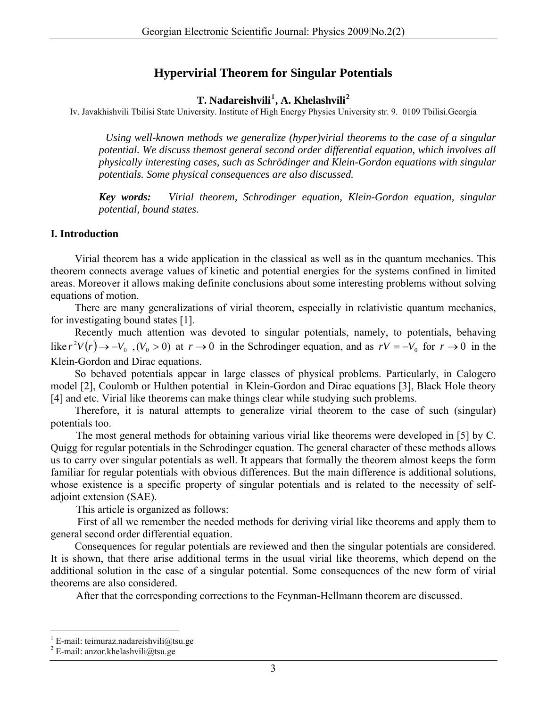# **Hypervirial Theorem for Singular Potentials**

### **T. Nadareishvili[1](#page-0-0) , A. Khelashvili[2](#page-0-1)**

Iv. Javakhishvili Tbilisi State University. Institute of High Energy Physics University str. 9. 0109 Tbilisi.Georgia

 *Using well-known methods we generalize (hyper)virial theorems to the case of a singular potential. We discuss themost general second order differential equation, which involves all physically interesting cases, such as Schrödinger and Klein-Gordon equations with singular potentials. Some physical consequences are also discussed.* 

*Key words: Virial theorem, Schrodinger equation, Klein-Gordon equation, singular potential, bound states.* 

### **I. Introduction**

Virial theorem has a wide application in the classical as well as in the quantum mechanics. This theorem connects average values of kinetic and potential energies for the systems confined in limited areas. Moreover it allows making definite conclusions about some interesting problems without solving equations of motion.

There are many generalizations of virial theorem, especially in relativistic quantum mechanics, for investigating bound states [1].

Recently much attention was devoted to singular potentials, namely, to potentials, behaving like  $r^2V(r) \to -V_0$ ,  $(V_0 > 0)$  at  $r \to 0$  in the Schrodinger equation, and as  $rV = -V_0$  for  $r \to 0$  in the Klein-Gordon and Dirac equations.

So behaved potentials appear in large classes of physical problems. Particularly, in Calogero model [2], Coulomb or Hulthen potential in Klein-Gordon and Dirac equations [3], Black Hole theory [4] and etc. Virial like theorems can make things clear while studying such problems.

 Therefore, it is natural attempts to generalize virial theorem to the case of such (singular) potentials too.

The most general methods for obtaining various virial like theorems were developed in [5] by C. Quigg for regular potentials in the Schrodinger equation. The general character of these methods allows us to carry over singular potentials as well. It appears that formally the theorem almost keeps the form familiar for regular potentials with obvious differences. But the main difference is additional solutions, whose existence is a specific property of singular potentials and is related to the necessity of selfadjoint extension (SAE).

This article is organized as follows:

 First of all we remember the needed methods for deriving virial like theorems and apply them to general second order differential equation.

 Consequences for regular potentials are reviewed and then the singular potentials are considered. It is shown, that there arise additional terms in the usual virial like theorems, which depend on the additional solution in the case of a singular potential. Some consequences of the new form of virial theorems are also considered.

After that the corresponding corrections to the Feynman-Hellmann theorem are discussed.

 $\overline{a}$ 

<span id="page-0-0"></span><sup>&</sup>lt;sup>1</sup> E-mail: teimuraz.nadareishvili@tsu.ge

<span id="page-0-1"></span><sup>&</sup>lt;sup>2</sup> E-mail: anzor.khelashvili@tsu.ge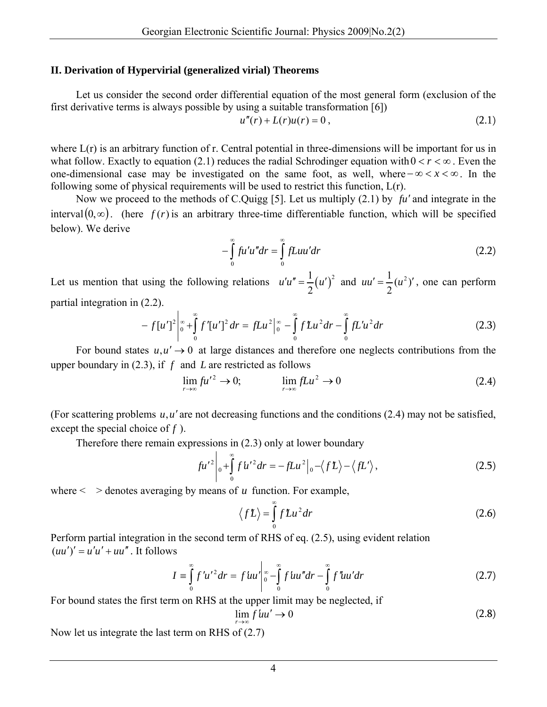#### **II. Derivation of Hypervirial (generalized virial) Theorems**

Let us consider the second order differential equation of the most general form (exclusion of the first derivative terms is always possible by using a suitable transformation [6])

$$
u''(r) + L(r)u(r) = 0,
$$
\n(2.1)

where  $L(r)$  is an arbitrary function of r. Central potential in three-dimensions will be important for us in what follow. Exactly to equation (2.1) reduces the radial Schrodinger equation with  $0 < r < \infty$ . Even the one-dimensional case may be investigated on the same foot, as well, where <∞− *x* < ∞. In the following some of physical requirements will be used to restrict this function, L(r).

Now we proceed to the methods of C.Quigg [5]. Let us multiply  $(2.1)$  by  $fu'$  and integrate in the interval  $(0, \infty)$ . (here  $f(r)$  is an arbitrary three-time differentiable function, which will be specified below). We derive

$$
-\int_{0}^{\infty} fu'u'' dr = \int_{0}^{\infty} fLuu' dr
$$
 (2.2)

Let us mention that using the following relations  $u'u'' = \frac{1}{2} (u')^2$ 2  $u'u'' = \frac{1}{2}(u')^2$  and  $uu' = \frac{1}{2}(u^2)$ 2  $uu' = \frac{1}{2}(u^2)'$ , one can perform partial integration in (2.2).

$$
-f[u']^{2}\Big|_{0}^{\infty}+\int_{0}^{\infty}f'[u']^{2}dr=fLu^{2}\Big|_{0}^{\infty}-\int_{0}^{\infty}fLu^{2}dr-\int_{0}^{\infty}fLu'u^{2}dr
$$
\n(2.3)

For bound states  $u, u' \rightarrow 0$  at large distances and therefore one neglects contributions from the upper boundary in  $(2.3)$ , if  $f$  and  $L$  are restricted as follows

$$
\lim_{r \to \infty} f u'^2 \to 0; \qquad \lim_{r \to \infty} f u^2 \to 0
$$
\n(2.4)

(For scattering problems  $u, u'$  are not decreasing functions and the conditions (2.4) may not be satisfied, except the special choice of  $f$ ).

Therefore there remain expressions in (2.3) only at lower boundary

$$
fu'^2\Big|_0 + \int_0^\infty fu'^2 dr = -fLu^2\Big|_0 - \langle fL \rangle - \langle fL' \rangle,\tag{2.5}
$$

where  $\leq$   $>$  denotes averaging by means of *u* function. For example,

$$
\langle fL \rangle = \int_{0}^{\infty} fLu^{2} dr
$$
 (2.6)

Perform partial integration in the second term of RHS of eq. (2.5), using evident relation  $(uu')' = u'u' + uu''$ . It follows

$$
I = \int_{0}^{\infty} f' u'^2 dr = f' u u' \bigg|_{0}^{\infty} - \int_{0}^{\infty} f' u u'' dr - \int_{0}^{\infty} f'' u u' dr \tag{2.7}
$$

For bound states the first term on RHS at the upper limit may be neglected, if

$$
\lim_{r \to \infty} f \, l\,u' \to 0 \tag{2.8}
$$

Now let us integrate the last term on RHS of (2.7)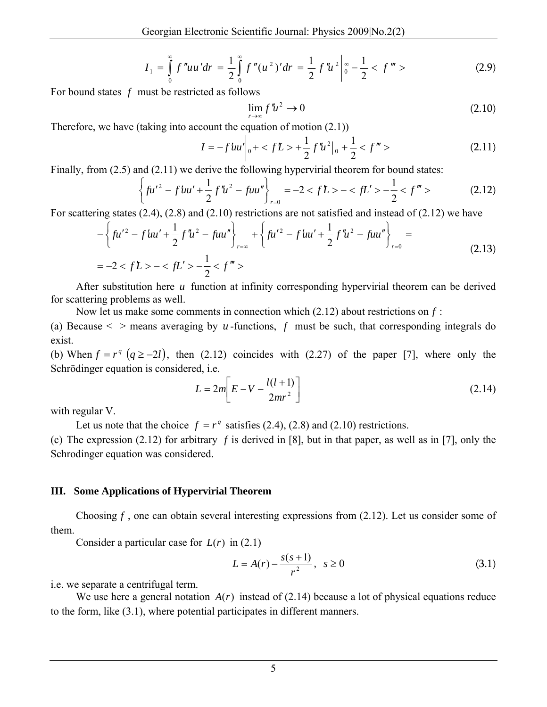$$
I_1 = \int_0^\infty f'' u u' dr = \frac{1}{2} \int_0^\infty f'' (u^2)' dr = \frac{1}{2} f'' u^2 \bigg|_0^\infty - \frac{1}{2} < f''' > \tag{2.9}
$$

For bound states  $f$  must be restricted as follows

$$
\lim_{r \to \infty} f'' u^2 \to 0 \tag{2.10}
$$

Therefore, we have (taking into account the equation of motion (2.1))

$$
I = -f' \ln \left|_0 + \frac{f}{2} f'' + \frac{1}{2} f'' + \frac{1}{2} f''' \right| > \frac{1}{2} < f''' > \tag{2.11}
$$

Finally, from (2.5) and (2.11) we derive the following hypervirial theorem for bound states:

$$
\left\{ fu'^2 - f'uu' + \frac{1}{2} f''u^2 - fuu'' \right\}_{r=0} = -2 < f\mathcal{L} > -\left\langle f\mathcal{L}^\prime > -\frac{1}{2} < f''' > \right. \tag{2.12}
$$

For scattering states (2.4), (2.8) and (2.10) restrictions are not satisfied and instead of (2.12) we have

$$
-\left\{ fu'^2 - fuu' + \frac{1}{2} f'u^2 - fuu'' \right\}_{r=\infty} + \left\{ fu'^2 - fuu' + \frac{1}{2} f'u^2 - fuu'' \right\}_{r=0} =
$$
  
= -2 < fL > - < fL' > -\frac{1}{2} < f''' > (2.13)

After substitution here *u* function at infinity corresponding hypervirial theorem can be derived for scattering problems as well.

Now let us make some comments in connection which (2.12) about restrictions on *f* :

(a) Because  $\leq$   $>$  means averaging by *u*-functions, *f* must be such, that corresponding integrals do exist.

(b) When  $f = r^q \ (q \ge -2l)$ , then (2.12) coincides with (2.27) of the paper [7], where only the Schrödinger equation is considered, i.e.

$$
L = 2m \left[ E - V - \frac{l(l+1)}{2mr^2} \right]
$$
 (2.14)

with regular V.

Let us note that the choice  $f = r^q$  satisfies (2.4), (2.8) and (2.10) restrictions.

(c) The expression (2.12) for arbitrary *f* is derived in [8], but in that paper, as well as in [7], only the Schrodinger equation was considered.

#### **III. Some Applications of Hypervirial Theorem**

Choosing  $f$ , one can obtain several interesting expressions from  $(2.12)$ . Let us consider some of them.

Consider a particular case for  $L(r)$  in (2.1)

$$
L = A(r) - \frac{s(s+1)}{r^2}, \quad s \ge 0
$$
\n(3.1)

i.e. we separate a centrifugal term.

We use here a general notation  $A(r)$  instead of (2.14) because a lot of physical equations reduce to the form, like (3.1), where potential participates in different manners.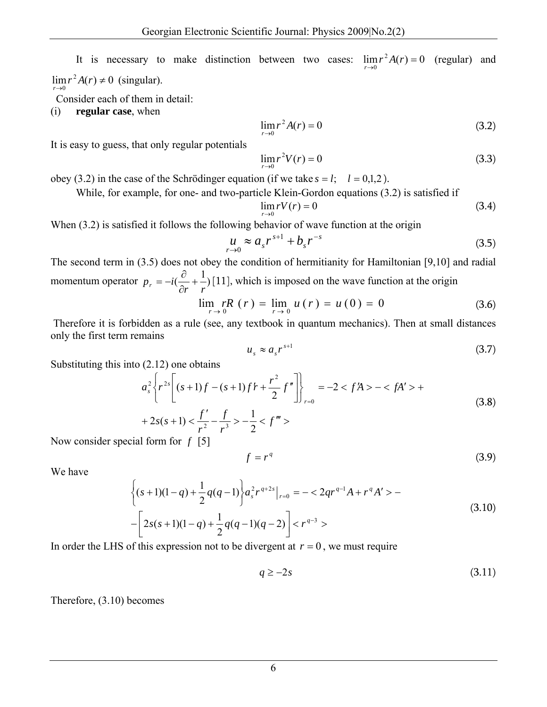It is necessary to make distinction between two cases:  $\lim_{r\to 0} r^2 A(r) = 0$  (regular) and  $\lim_{r\to 0} r^2 A(r) \neq 0$  (singular).

Consider each of them in detail:

(i) **regular case**, when

$$
\lim_{r \to 0} r^2 A(r) = 0
$$
 (3.2)

It is easy to guess, that only regular potentials

$$
\lim_{r \to 0} r^2 V(r) = 0
$$
 (3.3)

obey (3.2) in the case of the Schrödinger equation (if we take  $s = l$ ;  $l = 0,1,2$ ).

While, for example, for one- and two-particle Klein-Gordon equations (3.2) is satisfied if

$$
\lim_{r \to 0} rV(r) = 0 \tag{3.4}
$$

When  $(3.2)$  is satisfied it follows the following behavior of wave function at the origin

$$
\mu_{r \to 0} \approx a_s r^{s+1} + b_s r^{-s}
$$
 (3.5)

The second term in (3.5) does not obey the condition of hermitianity for Hamiltonian [9,10] and radial momentum operator  $p_r = -i(\frac{\partial}{\partial r} + \frac{1}{r})$  $p_r = -i(\frac{\sigma}{\partial r} + \frac{1}{r})$  $=-i(\frac{\partial}{\partial}+1)[11]$ , which is imposed on the wave function at the origin

$$
\lim_{r \to 0} rR(r) = \lim_{r \to 0} u(r) = u(0) = 0 \tag{3.6}
$$

 Therefore it is forbidden as a rule (see, any textbook in quantum mechanics). Then at small distances only the first term remains

$$
u_s \approx a_s r^{s+1} \tag{3.7}
$$

Substituting this into (2.12) one obtains

$$
a_s^2 \left\{ r^{2s} \left[ (s+1)f - (s+1)f' + \frac{r^2}{2} f'' \right] \right\}_{r=0} = -2 < fA > -< fA' > +
$$
\n(3.8)

$$
+2s(s+1) < \frac{f'}{r^2} - \frac{f}{r^3} > -\frac{1}{2} < f'''>
$$

Now consider special form for *f* [5]

$$
f = r^q \tag{3.9}
$$

We have

$$
\left\{ (s+1)(1-q) + \frac{1}{2}q(q-1) \right\} a_s^2 r^{q+2s} \big|_{r=0} = -\langle 2qr^{q-1}A + r^q A' \rangle -
$$
  
 
$$
-\left[ 2s(s+1)(1-q) + \frac{1}{2}q(q-1)(q-2) \right] \langle r^{q-3} \rangle
$$
 (3.10)

In order the LHS of this expression not to be divergent at  $r = 0$ , we must require

$$
q \ge -2s \tag{3.11}
$$

Therefore, (3.10) becomes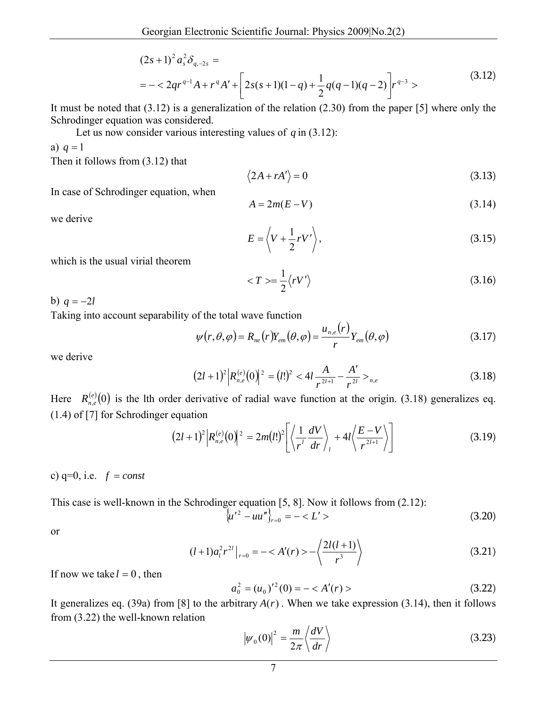$$
(2s+1)^2 a_s^2 \delta_{q,-2s} =
$$
  
= - $2qr^{q-1}A + r^qA' + \left[2s(s+1)(1-q) + \frac{1}{2}q(q-1)(q-2)\right]r^{q-3}$  (3.12)

It must be noted that (3.12) is a generalization of the relation (2.30) from the paper [5] where only the Schrodinger equation was considered.

Let us now consider various interesting values of  $q$  in (3.12):

a)  $q = 1$ 

Then it follows from (3.12) that

$$
\langle 2A + rA' \rangle = 0 \tag{3.13}
$$

In case of Schrodinger equation, when

$$
A = 2m(E - V) \tag{3.14}
$$

we derive

$$
E = \left\langle V + \frac{1}{2} r V' \right\rangle, \tag{3.15}
$$

which is the usual virial theorem

$$
\langle T \rangle = \frac{1}{2} \langle rV' \rangle \tag{3.16}
$$

b)  $q = -2l$ 

Taking into account separability of the total wave function

$$
\psi(r,\theta,\varphi) = R_{ne}(r)Y_{em}(\theta,\varphi) = \frac{u_{n,e}(r)}{r}Y_{em}(\theta,\varphi)
$$
\n(3.17)

we derive

$$
(2l+1)^2 \Big| R_{n,e}^{(e)}(0) \Big|^2 = (l!)^2 < 4l \frac{A}{r^{2l+1}} - \frac{A'}{r^{2l}} >_{n,e} \tag{3.18}
$$

Here  $R_{n,e}^{(e)}(0)$  is the lth order derivative of radial wave function at the origin. (3.18) generalizes eq. (1.4) of [7] for Schrodinger equation

$$
(2l+1)^{2} \Big| R_{n,e}^{(e)}(0) \Big|^{2} = 2m(l!)^{2} \Bigg[ \Big\langle \frac{1}{r'} \frac{dV}{dr} \Big\rangle_{l} + 4l \Big\langle \frac{E-V}{r^{2l+1}} \Big\rangle \Bigg] \tag{3.19}
$$

c)  $q=0$ , i.e.  $f = const$ 

This case is well-known in the Schrodinger equation [5, 8]. Now it follows from (2.12):

$$
\langle u'^2 - u u'' \rangle_{r=0} = - \langle L' \rangle \tag{3.20}
$$

or

$$
(l+1)a_l^2 r^{2l}\big|_{r=0} = -\langle A'(r) \rangle - \left\langle \frac{2l(l+1)}{r^3} \right\rangle \tag{3.21}
$$

If now we take  $l = 0$ , then

$$
a_0^2 = (u_0)^{2}(0) = -\langle A'(r) \rangle \tag{3.22}
$$

It generalizes eq. (39a) from [8] to the arbitrary  $A(r)$ . When we take expression (3.14), then it follows from (3.22) the well-known relation

$$
|\psi_0(0)|^2 = \frac{m}{2\pi} \left\langle \frac{dV}{dr} \right\rangle
$$
 (3.23)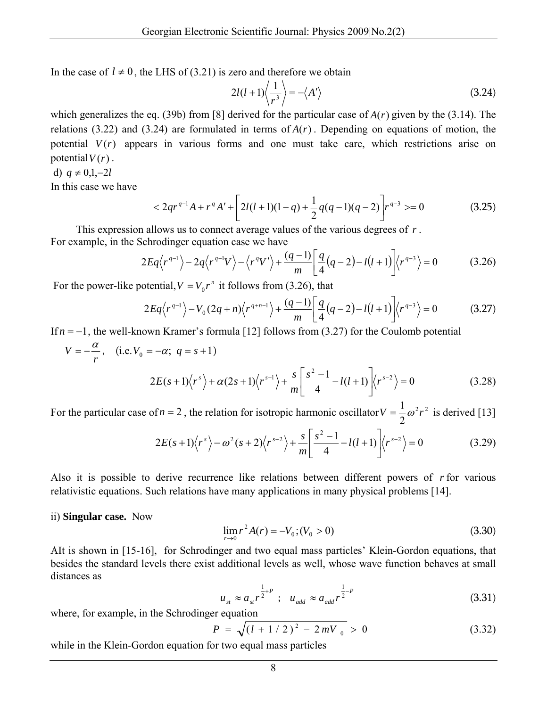In the case of  $l \neq 0$ , the LHS of (3.21) is zero and therefore we obtain

$$
2l(l+1)\left\langle \frac{1}{r^3} \right\rangle = -\left\langle A' \right\rangle \tag{3.24}
$$

which generalizes the eq. (39b) from [8] derived for the particular case of  $A(r)$  given by the (3.14). The relations (3.22) and (3.24) are formulated in terms of  $A(r)$ . Depending on equations of motion, the potential  $V(r)$  appears in various forms and one must take care, which restrictions arise on potential  $V(r)$ .

d)  $q \neq 0, 1, -2l$ 

In this case we have

$$
\langle 2qr^{q-1}A+r^qA'+\left[2l(l+1)(1-q)+\frac{1}{2}q(q-1)(q-2)\right]r^{q-3} \rangle = 0 \tag{3.25}
$$

This expression allows us to connect average values of the various degrees of *r* . For example, in the Schrodinger equation case we have

$$
2Eq\langle r^{q-1}\rangle - 2q\langle r^{q-1}V\rangle - \langle r^qV'\rangle + \frac{(q-1)}{m}\bigg[\frac{q}{4}(q-2) - l(l+1)\bigg]\langle r^{q-3}\rangle = 0 \tag{3.26}
$$

For the power-like potential,  $V = V_0 r^n$  it follows from (3.26), that

$$
2Eq\langle r^{q-1} \rangle - V_0(2q+n)\langle r^{q+n-1} \rangle + \frac{(q-1)}{m} \left[ \frac{q}{4}(q-2) - l(l+1) \right] \langle r^{q-3} \rangle = 0 \tag{3.27}
$$

If  $n = -1$ , the well-known Kramer's formula [12] follows from (3.27) for the Coulomb potential

$$
V = -\frac{\alpha}{r}, \quad \text{(i.e. } V_0 = -\alpha; \ q = s + 1)
$$
\n
$$
2E(s+1)\langle r^s \rangle + \alpha(2s+1)\langle r^{s-1} \rangle + \frac{s}{m} \left[ \frac{s^2 - 1}{4} - l(l+1) \right] \langle r^{s-2} \rangle = 0 \tag{3.28}
$$

For the particular case of  $n = 2$ , the relation for isotropic harmonic oscillator  $V = \frac{1}{2} \omega^2 r^2$ 2  $V = \frac{1}{2}\omega^2 r^2$  is derived [13]

$$
2E(s+1)\langle r^{s}\rangle - \omega^{2}(s+2)\langle r^{s+2}\rangle + \frac{s}{m}\left[\frac{s^{2}-1}{4} - l(l+1)\right]\langle r^{s-2}\rangle = 0
$$
 (3.29)

Also it is possible to derive recurrence like relations between different powers of *r* for various relativistic equations. Such relations have many applications in many physical problems [14].

ii) **Singular case.** Now

$$
\lim_{r \to 0} r^2 A(r) = -V_0; (V_0 > 0)
$$
\n(3.30)

AIt is shown in [15-16], for Schrodinger and two equal mass particles' Klein-Gordon equations, that besides the standard levels there exist additional levels as well, whose wave function behaves at small distances as

$$
u_{st} \approx a_{st} r^{\frac{1}{2} + P} \quad ; \quad u_{add} \approx a_{add} r^{\frac{1}{2} - P} \tag{3.31}
$$

where, for example, in the Schrodinger equation

$$
P = \sqrt{\left(l + 1/2\right)^2 - 2mV_0} > 0 \tag{3.32}
$$

while in the Klein-Gordon equation for two equal mass particles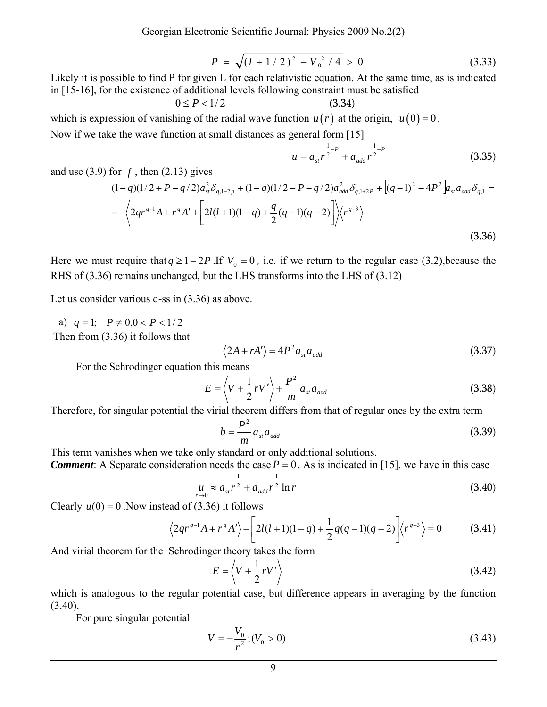$$
P = \sqrt{\left(l + 1/2\right)^2 - V_0^2/4} > 0 \tag{3.33}
$$

Likely it is possible to find P for given L for each relativistic equation. At the same time, as is indicated in [15-16], for the existence of additional levels following constraint must be satisfied

 $0 \le P < 1/2$  (3.34) which is expression of vanishing of the radial wave function  $u(r)$  at the origin,  $u(0) = 0$ . Now if we take the wave function at small distances as general form [15]

$$
u = a_{st} r^{\frac{1}{2} + P} + a_{add} r^{\frac{1}{2} - P}
$$
 (3.35)

and use  $(3.9)$  for  $f$ , then  $(2.13)$  gives

$$
(1-q)(1/2 + P - q/2)a_{st}^2 \delta_{q,1-2p} + (1-q)(1/2 - P - q/2)a_{add}^2 \delta_{q,1+2p} + [(q-1)^2 - 4P^2] a_{st} a_{add} \delta_{q,1} =
$$
  
=  $-\left\langle 2qr^{q-1}A + r^qA' + \left[ 2l(l+1)(1-q) + \frac{q}{2}(q-1)(q-2) \right] \right\rangle \left\langle r^{q-3} \right\rangle$  (3.36)

Here we must require that  $q \geq 1 - 2P$ . If  $V_0 = 0$ , i.e. if we return to the regular case (3.2), because the RHS of (3.36) remains unchanged, but the LHS transforms into the LHS of (3.12)

Let us consider various q-ss in (3.36) as above.

a)  $q=1$ ;  $P \neq 0, 0 < P < 1/2$ Then from (3.36) it follows that

$$
\langle 2A + rA' \rangle = 4P^2 a_{st} a_{add} \tag{3.37}
$$

For the Schrodinger equation this means

$$
E = \left\langle V + \frac{1}{2} r V' \right\rangle + \frac{P^2}{m} a_{st} a_{add} \tag{3.38}
$$

Therefore, for singular potential the virial theorem differs from that of regular ones by the extra term

$$
b = \frac{P^2}{m} a_{st} a_{add} \tag{3.39}
$$

This term vanishes when we take only standard or only additional solutions.

*Comment*: A Separate consideration needs the case  $P = 0$ . As is indicated in [15], we have in this case

$$
\mu_{r \to 0} \approx a_{st} r^{\frac{1}{2}} + a_{add} r^{\frac{1}{2}} \ln r \tag{3.40}
$$

Clearly  $u(0) = 0$ . Now instead of (3.36) it follows

$$
\left\langle 2qr^{q-1}A + r^qA'\right\rangle - \left[2l(l+1)(1-q) + \frac{1}{2}q(q-1)(q-2)\right]\left\langle r^{q-3}\right\rangle = 0\tag{3.41}
$$

And virial theorem for the Schrodinger theory takes the form

$$
E = \left\langle V + \frac{1}{2} r V' \right\rangle \tag{3.42}
$$

which is analogous to the regular potential case, but difference appears in averaging by the function  $(3.40).$ 

For pure singular potential

$$
V = -\frac{V_0}{r^2}; (V_0 > 0)
$$
\n(3.43)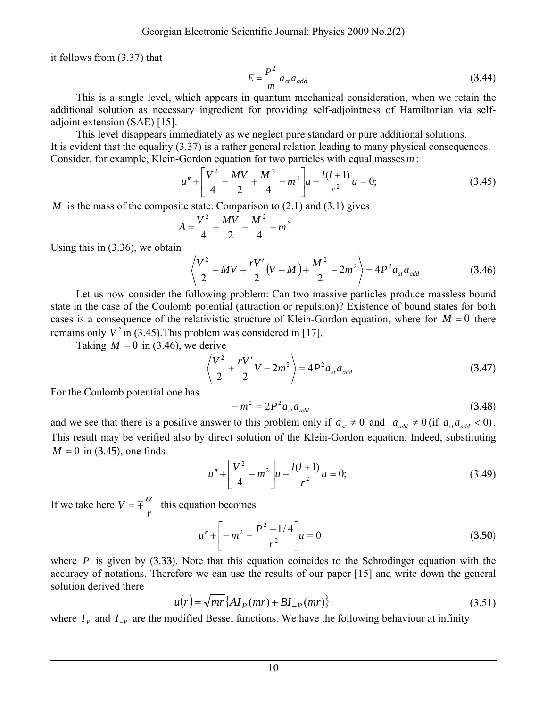it follows from (3.37) that

$$
E = \frac{P^2}{m} a_{st} a_{add} \tag{3.44}
$$

This is a single level, which appears in quantum mechanical consideration, when we retain the additional solution as necessary ingredient for providing self-adjointness of Hamiltonian via selfadjoint extension (SAE) [15].

This level disappears immediately as we neglect pure standard or pure additional solutions. It is evident that the equality (3.37) is a rather general relation leading to many physical consequences. Consider, for example, Klein-Gordon equation for two particles with equal masses*m* :

$$
u'' + \left[\frac{V^2}{4} - \frac{MV}{2} + \frac{M^2}{4} - m^2\right]u - \frac{l(l+1)}{r^2}u = 0;
$$
 (3.45)

*M* is the mass of the composite state. Comparison to  $(2.1)$  and  $(3.1)$  gives

$$
A = \frac{V^2}{4} - \frac{MV}{2} + \frac{M^2}{4} - m^2
$$

Using this in (3.36), we obtain

$$
\left\langle \frac{V^2}{2} - MV + \frac{rV'}{2}(V-M) + \frac{M^2}{2} - 2m^2 \right\rangle = 4P^2 a_{st} a_{add}
$$
 (3.46)

Let us now consider the following problem: Can two massive particles produce massless bound state in the case of the Coulomb potential (attraction or repulsion)? Existence of bound states for both cases is a consequence of the relativistic structure of Klein-Gordon equation, where for  $M = 0$  there remains only  $V^2$  in (3.45). This problem was considered in [17].

Taking  $M = 0$  in (3.46), we derive

$$
\left\langle \frac{V^2}{2} + \frac{rV'}{2}V - 2m^2 \right\rangle = 4P^2 a_{st} a_{add}
$$
 (3.47)

For the Coulomb potential one has

$$
-m^2 = 2P^2 a_{st} a_{add} \tag{3.48}
$$

and we see that there is a positive answer to this problem only if  $a_{st} \neq 0$  and  $a_{add} \neq 0$  (if  $a_{sd} a_{odd} < 0$ ). This result may be verified also by direct solution of the Klein-Gordon equation. Indeed, substituting  $M = 0$  in (3.45), one finds

$$
u'' + \left[\frac{V^2}{4} - m^2\right]u - \frac{l(l+1)}{r^2}u = 0;
$$
 (3.49)

If we take here  $V = \pm \frac{\alpha}{r}$  this equation becomes

$$
u'' + \left[ -m^2 - \frac{P^2 - 1/4}{r^2} \right] u = 0 \tag{3.50}
$$

where  $P$  is given by  $(3.33)$ . Note that this equation coincides to the Schrodinger equation with the accuracy of notations. Therefore we can use the results of our paper [15] and write down the general solution derived there

$$
u(r) = \sqrt{mr} \left\{ A I_P(mr) + B I_{-P}(mr) \right\}
$$
\n(3.51)

where  $I_p$  and  $I_p$  are the modified Bessel functions. We have the following behaviour at infinity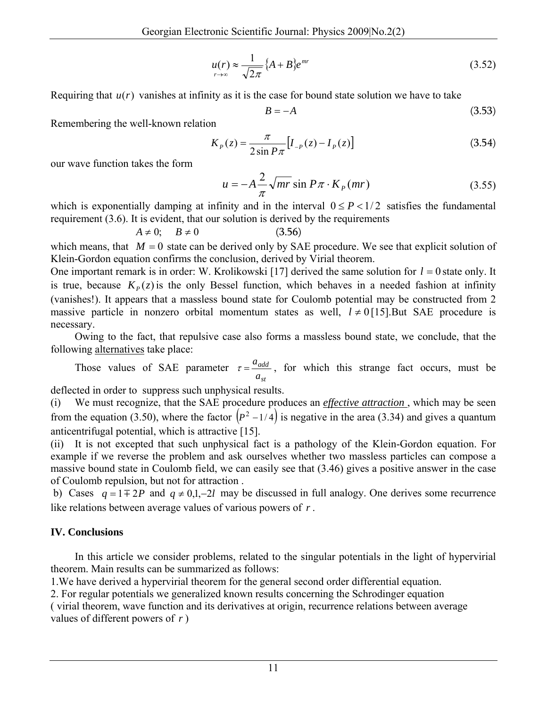$$
u(r) \approx \frac{1}{\sqrt{2\pi}} \left\{ A + B \right\} e^{mr} \tag{3.52}
$$

Requiring that  $u(r)$  vanishes at infinity as it is the case for bound state solution we have to take

$$
B = -A \tag{3.53}
$$

Remembering the well-known relation

$$
K_P(z) = \frac{\pi}{2\sin P\pi} \left[ I_{-P}(z) - I_P(z) \right] \tag{3.54}
$$

our wave function takes the form

$$
u = -A\frac{2}{\pi}\sqrt{mr}\sin P\pi \cdot K_p(mr)
$$
 (3.55)

which is exponentially damping at infinity and in the interval  $0 \le P \le 1/2$  satisfies the fundamental requirement (3.6). It is evident, that our solution is derived by the requirements

$$
A \neq 0; \quad B \neq 0 \tag{3.56}
$$

which means, that  $M = 0$  state can be derived only by SAE procedure. We see that explicit solution of Klein-Gordon equation confirms the conclusion, derived by Virial theorem.

One important remark is in order: W. Krolikowski [17] derived the same solution for  $l = 0$  state only. It is true, because  $K_p(z)$  is the only Bessel function, which behaves in a needed fashion at infinity (vanishes!). It appears that a massless bound state for Coulomb potential may be constructed from 2 massive particle in nonzero orbital momentum states as well,  $l \neq 0$  [15]. But SAE procedure is necessary.

 Owing to the fact, that repulsive case also forms a massless bound state, we conclude, that the following alternatives take place:

 Those values of SAE parameter *st add a*  $\tau = \frac{a_{add}}{a}$ , for which this strange fact occurs, must be

deflected in order to suppress such unphysical results.

(i) We must recognize, that the SAE procedure produces an *effective attraction* , which may be seen from the equation (3.50), where the factor  $\left(\frac{P^2-1}{4}\right)$  is negative in the area (3.34) and gives a quantum anticentrifugal potential, which is attractive [15].

(ii) It is not excepted that such unphysical fact is a pathology of the Klein-Gordon equation. For example if we reverse the problem and ask ourselves whether two massless particles can compose a massive bound state in Coulomb field, we can easily see that (3.46) gives a positive answer in the case of Coulomb repulsion, but not for attraction .

b) Cases  $q = 1 \pm 2P$  and  $q \neq 0, 1, -2l$  may be discussed in full analogy. One derives some recurrence like relations between average values of various powers of *r* .

### **IV. Conclusions**

 In this article we consider problems, related to the singular potentials in the light of hypervirial theorem. Main results can be summarized as follows:

1.We have derived a hypervirial theorem for the general second order differential equation.

2. For regular potentials we generalized known results concerning the Schrodinger equation

( virial theorem, wave function and its derivatives at origin, recurrence relations between average values of different powers of *r* )